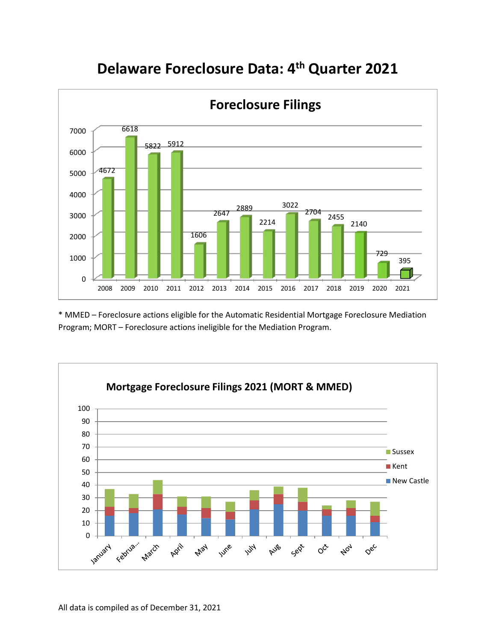

## **Delaware Foreclosure Data: 4th Quarter 2021**

\* MMED – Foreclosure actions eligible for the Automatic Residential Mortgage Foreclosure Mediation Program; MORT – Foreclosure actions ineligible for the Mediation Program.

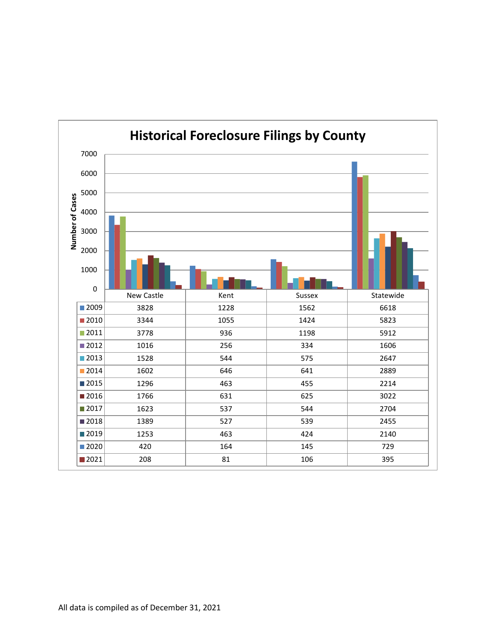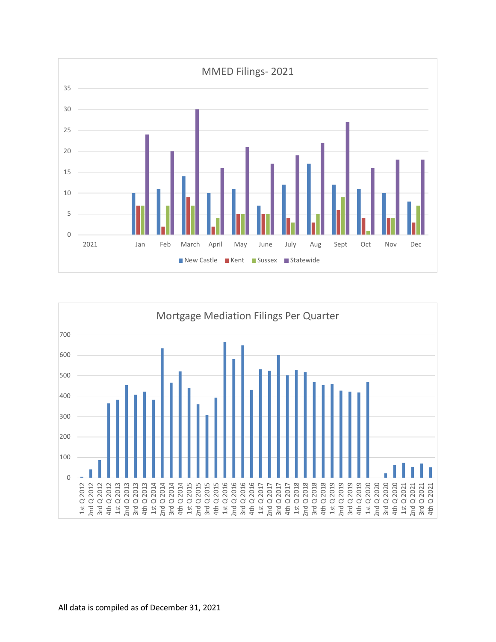